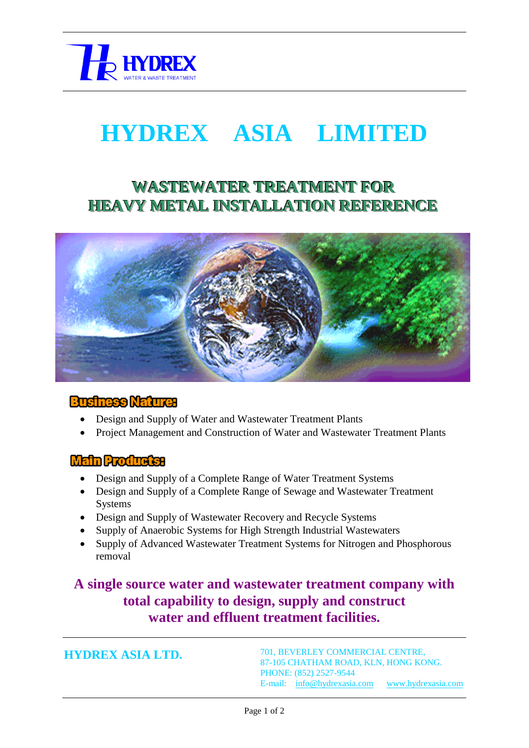

# **HYDREX ASIA LIMITED**

## **WASTEWATER TREATMENT FOR HEAVY METAL INSTALLATION REFERENCE**



#### **Businese Nature:**

- Design and Supply of Water and Wastewater Treatment Plants
- Project Management and Construction of Water and Wastewater Treatment Plants

#### **Main Products:**

- Design and Supply of a Complete Range of Water Treatment Systems
- Design and Supply of a Complete Range of Sewage and Wastewater Treatment Systems
- Design and Supply of Wastewater Recovery and Recycle Systems
- Supply of Anaerobic Systems for High Strength Industrial Wastewaters
- Supply of Advanced Wastewater Treatment Systems for Nitrogen and Phosphorous removal

## **A single source water and wastewater treatment company with total capability to design, supply and construct water and effluent treatment facilities.**

**HYDREX ASIA LTD.**

701, BEVERLEY COMMERCIAL CENTRE, 87-105 CHATHAM ROAD, KLN, HONG KONG. PHONE: (852) 2527-9544 E-mail: [info@hydrexasia.com](mailto:info@hydrexasia.com) [www.hydrexasia.com](http://www.hydrexasia.com/)